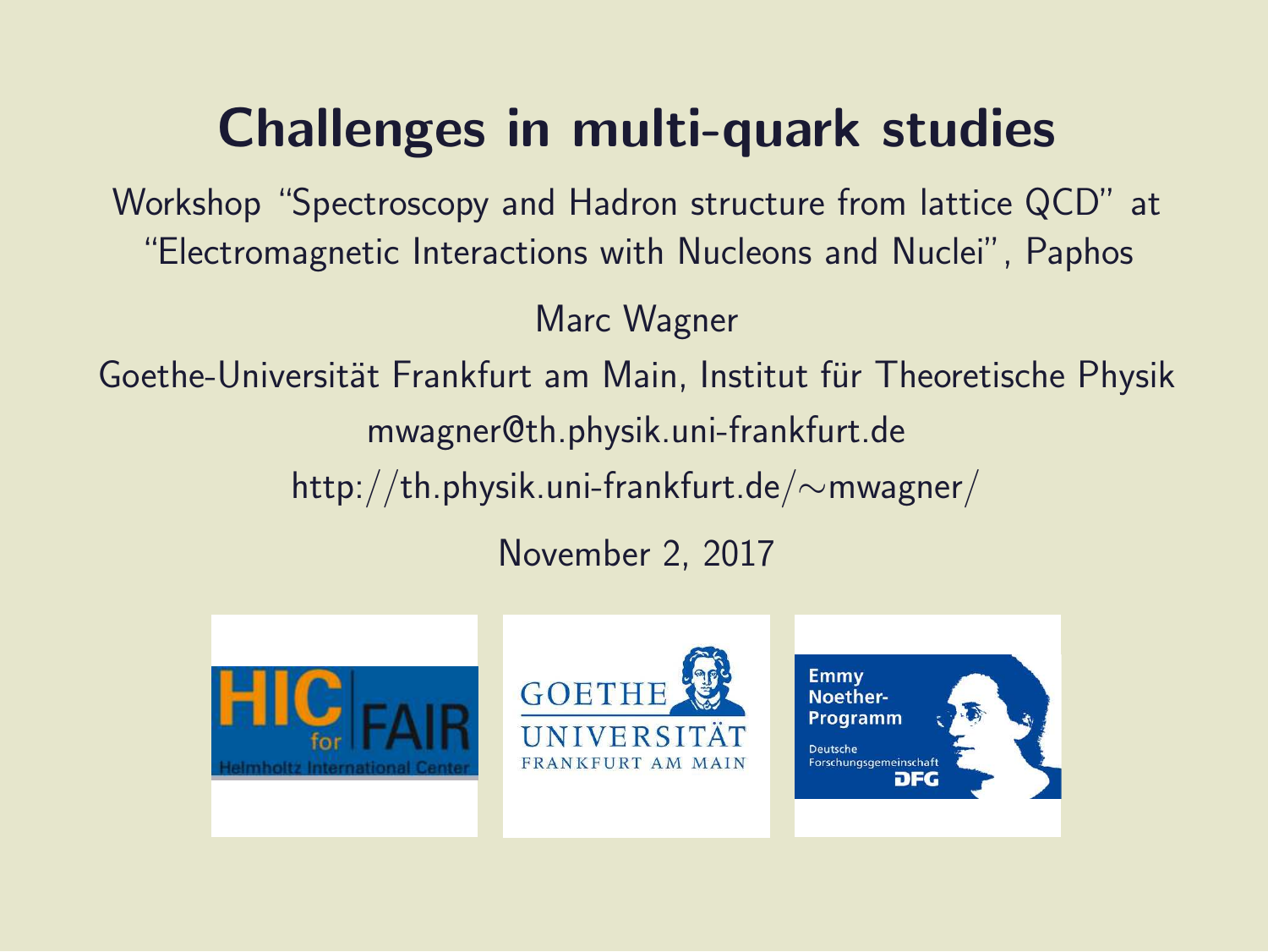### Challenges in multi-quark studies

Workshop "Spectroscopy and Hadron structure from lattice QCD" at "Electromagnetic Interactions with Nucleons and Nuclei", Paphos

Marc Wagner

Goethe-Universität Frankfurt am Main, Institut für Theoretische Physik mwagner@th.physik.uni-frankfurt.de http://th.physik.uni-frankfurt.de/∼mwagner/

November 2, 2017





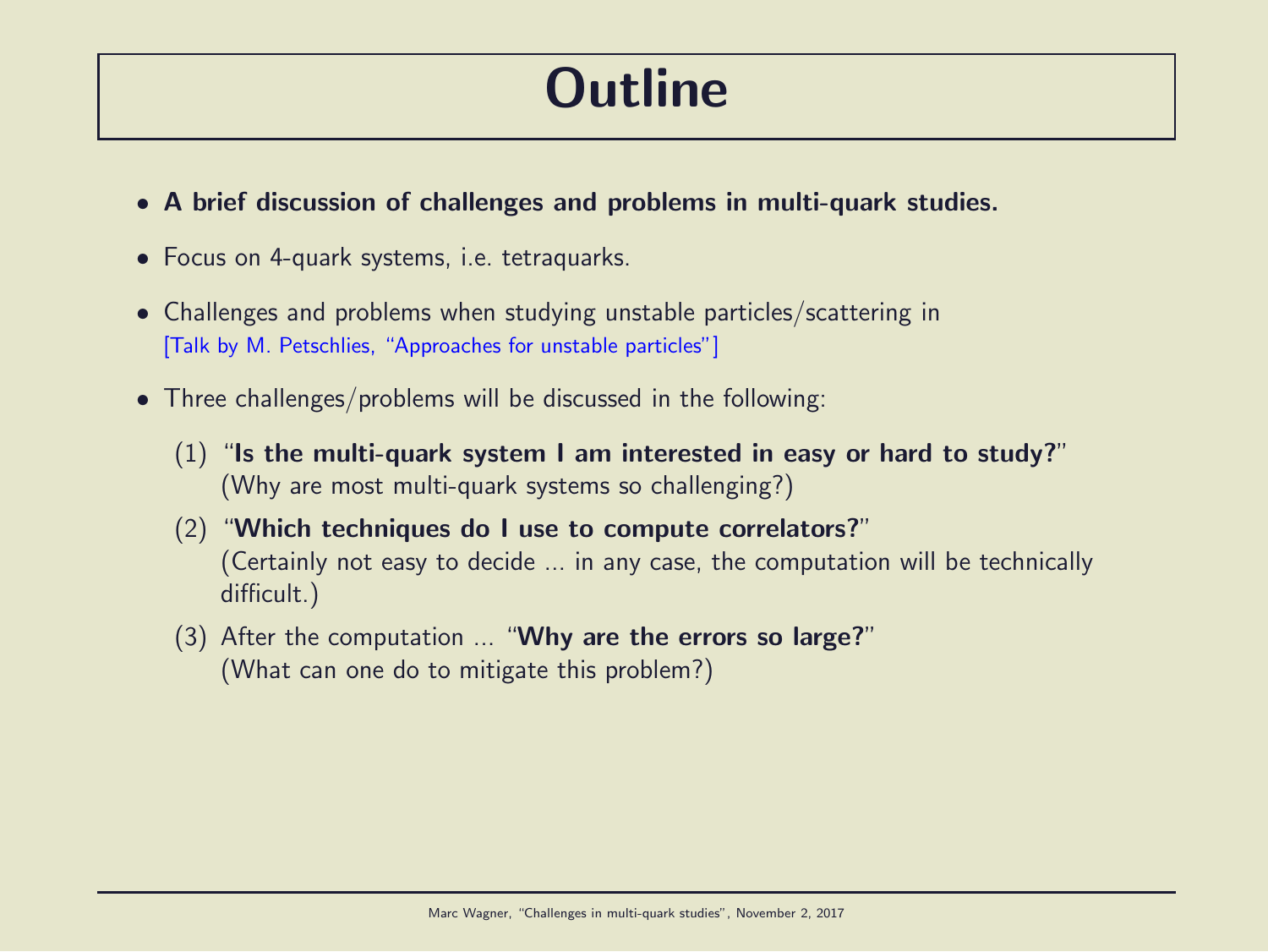### **Outline**

- A brief discussion of challenges and problems in multi-quark studies.
- Focus on 4-quark systems, i.e. tetraquarks.
- Challenges and problems when studying unstable particles/scattering in [Talk by M. Petschlies, "Approaches for unstable particles"]
- Three challenges/problems will be discussed in the following:
	- $(1)$  "Is the multi-quark system I am interested in easy or hard to study?" (Why are most multi-quark systems so challenging?)
	- (2) "Which techniques do I use to compute correlators?" (Certainly not easy to decide ... in any case, the computation will be technically difficult.)
	- $(3)$  After the computation ... "Why are the errors so large?" (What can one do to mitigate this problem?)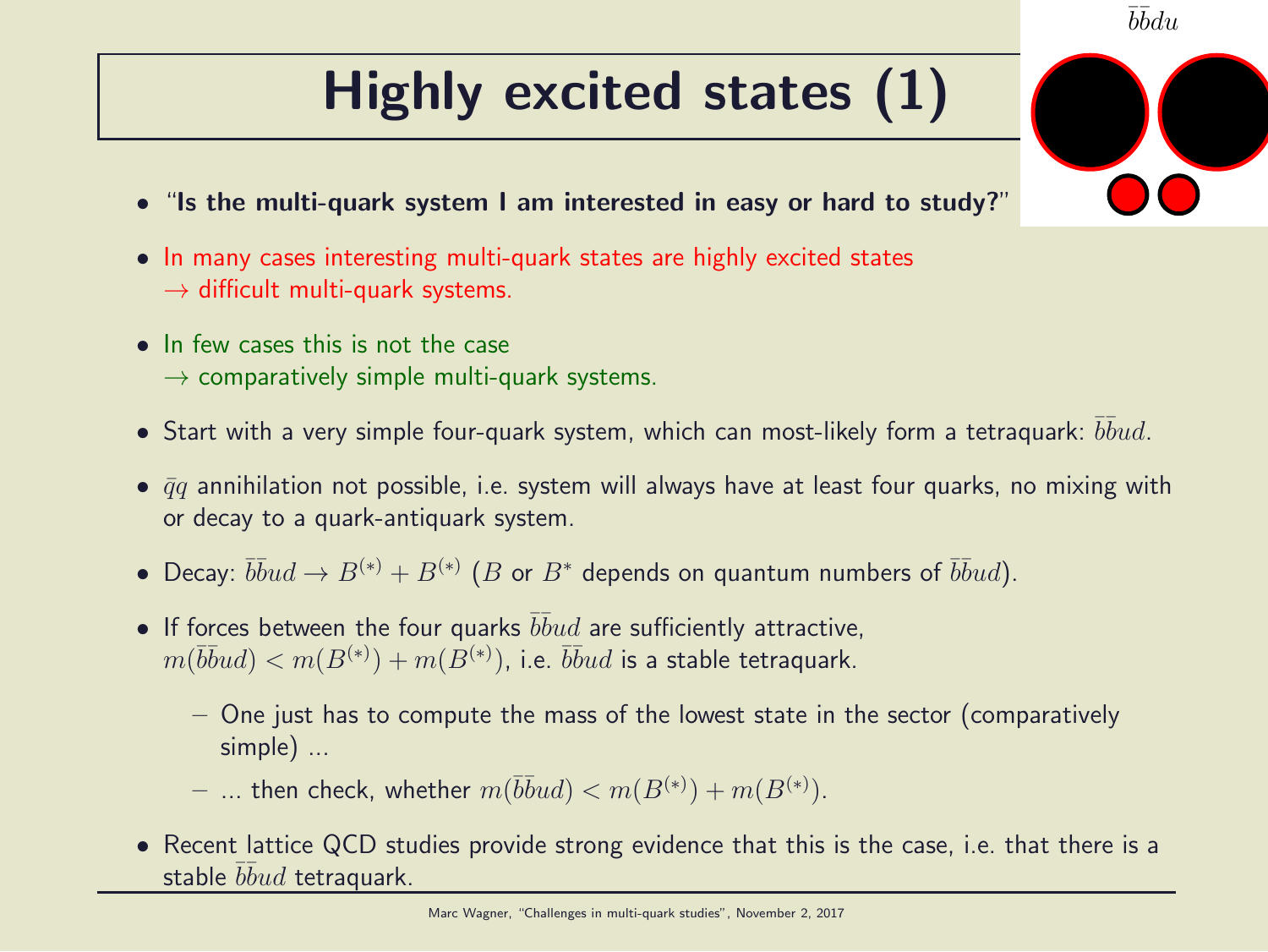# Highly excited states (1)

- "Is the multi-quark system I am interested in easy or hard to study?"
- In many cases interesting multi-quark states are highly excited states  $\rightarrow$  difficult multi-quark systems.
- In few cases this is not the case
	- $\rightarrow$  comparatively simple multi-quark systems.
- $\bullet$  Start with a very simple four-quark system, which can most-likely form a tetraquark:  $\bar b \bar b u d.$
- $\bar{q}q$  annihilation not possible, i.e. system will always have at least four quarks, no mixing with or decay to a quark-antiquark system.
- Decay:  $\overline{bb}ud \to B^{(*)} + B^{(*)}$   $(B$  or  $B^*$  depends on quantum numbers of  $\overline{bb}ud$ ).
- If forces between the four quarks  $\overline{bbud}$  are sufficiently attractive,  $m(\bar b\bar b ud)< m(B^{(*)})+m(B^{(*)})$ , i.e.  $\bar b\bar b ud$  is a stable tetraquark.
	- One just has to compute the mass of the lowest state in the sector (comparatively simple) ...
	- $-$  ... then check, whether  $m(\bar b \bar b u d) < m(B^{(*)}) + m(B^{(*)})$ .
- Recent lattice QCD studies provide strong evidence that this is the case, i.e. that there is a stable  $\bar b\bar b ud$  tetraquark.

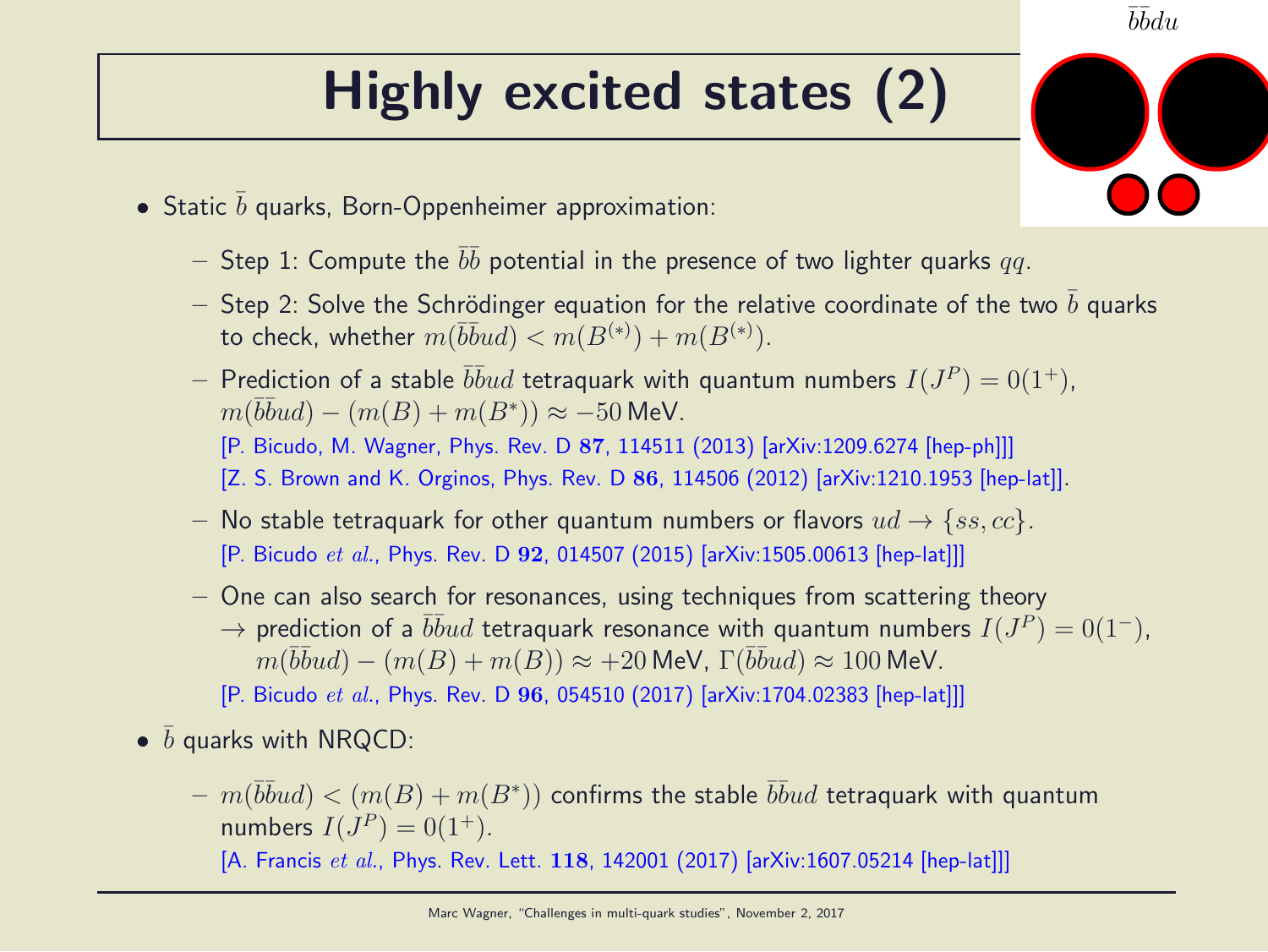# Highly excited states (2)

- Static  $\bar{b}$  quarks, Born-Oppenheimer approximation:
	- $-$  Step 1: Compute the  $\bar b \bar b$  potential in the presence of two lighter quarks  $q\bar q$ .
	- Step 2: Solve the Schrödinger equation for the relative coordinate of the two b quarks to check, whether  $m(\bar b\bar b ud) < m(B^{(*)})+m(B^{(*)}).$
	- $-$  Prediction of a stable  $\bar b\bar b ud$  tetraquark with quantum numbers  $I(J^P)=0(1^+),$  $m(\overline{bb}ud) - (m(B) + m(B^*)) \approx -50$  MeV. [P. Bicudo, M. Wagner, Phys. Rev. D 87, 114511 (2013) [arXiv:1209.6274 [hep-ph]]] [Z. S. Brown and K. Orginos, Phys. Rev. D 86, 114506 (2012) [arXiv:1210.1953 [hep-lat]].
	- No stable tetraquark for other quantum numbers or flavors  $ud \rightarrow \{ss, cc\}$ . [P. Bicudo et al., Phys. Rev. D 92, 014507 (2015) [arXiv:1505.00613 [hep-lat]]]
	- One can also search for resonances, using techniques from scattering theory  $\rightarrow$  prediction of a  $\overline{bb}ud$  tetraquark resonance with quantum numbers  $I(J^P) = 0(1^-)$ ,  $m(\overline{bb}ud) - (m(B) + m(B)) \approx +20$  MeV,  $\Gamma(\overline{bb}ud) \approx 100$  MeV.
		- [P. Bicudo et al., Phys. Rev. D 96, 054510 (2017) [arXiv:1704.02383 [hep-lat]]]
- $\bullet$   $\bar{b}$  quarks with NRQCD:
	- $\; m(\bar b \bar b u d) < (m(B)+m(B^*))$  confirms the stable  $\bar b \bar b u d$  tetraquark with quantum numbers  $I(J^P) = 0(1^+).$

[A. Francis et al., Phys. Rev. Lett. 118, 142001 (2017) [arXiv:1607.05214 [hep-lat]]]

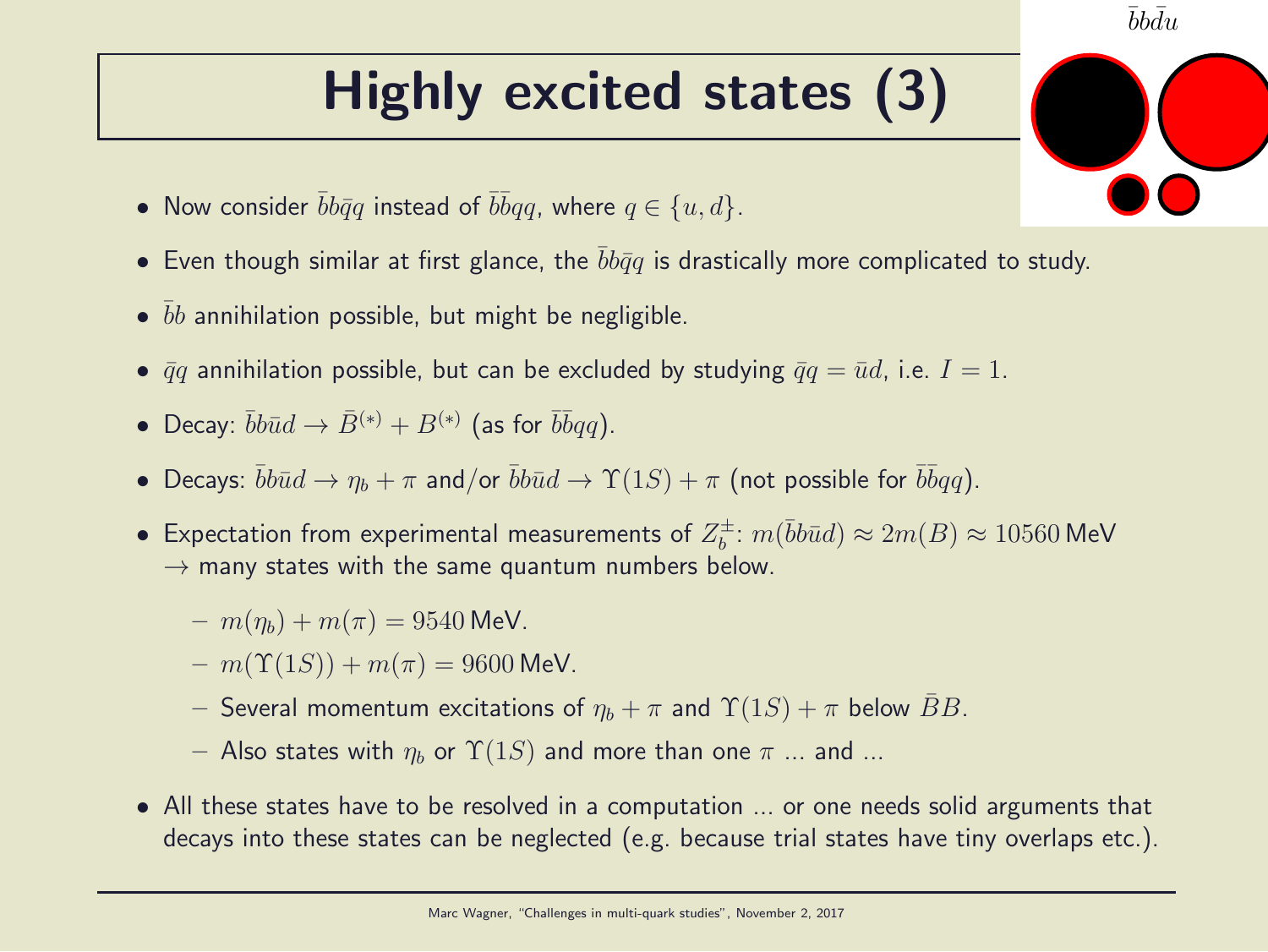# Highly excited states (3)

 $\bar{b}b\bar{d}u$ 

- Now consider  $\bar{b}b\bar{q}q$  instead of  $\bar{b}\bar{b}qq$ , where  $q \in \{u, d\}$ .
- Even though similar at first glance, the  $bb\bar{q}q$  is drastically more complicated to study.
- $\bullet$   $\bar{b}b$  annihilation possible, but might be negligible.
- $\bar{q}q$  annihilation possible, but can be excluded by studying  $\bar{q}q = \bar{u}d$ , i.e.  $I = 1$ .
- Decay:  $\bar{b}b\bar{u}d \to \bar{B}^{(*)} + B^{(*)}$  (as for  $\bar{b}\bar{b}qq$ ).
- Decays:  $\bar{b}b\bar{u}d \to \eta_b + \pi$  and/or  $\bar{b}b\bar{u}d \to \Upsilon(1S) + \pi$  (not possible for  $\bar{b}\bar{b}qq$ ).
- Expectation from experimental measurements of  $Z_b^{\pm}$  $\bar{b}^{\pm}$ :  $m(\bar{b}b\bar{u}d) \approx 2m(B) \approx 10560$  MeV  $\rightarrow$  many states with the same quantum numbers below.
	- $m(\eta_b) + m(\pi) = 9540$  MeV.
	- $m(\Upsilon(1S)) + m(\pi) = 9600$  MeV.
	- Several momentum excitations of  $\eta_b + \pi$  and  $\Upsilon(1S) + \pi$  below  $\overline{B}B$ .
	- Also states with  $\eta_b$  or  $\Upsilon(1S)$  and more than one  $\pi$  ... and ...
- All these states have to be resolved in a computation ... or one needs solid arguments that decays into these states can be neglected (e.g. because trial states have tiny overlaps etc.).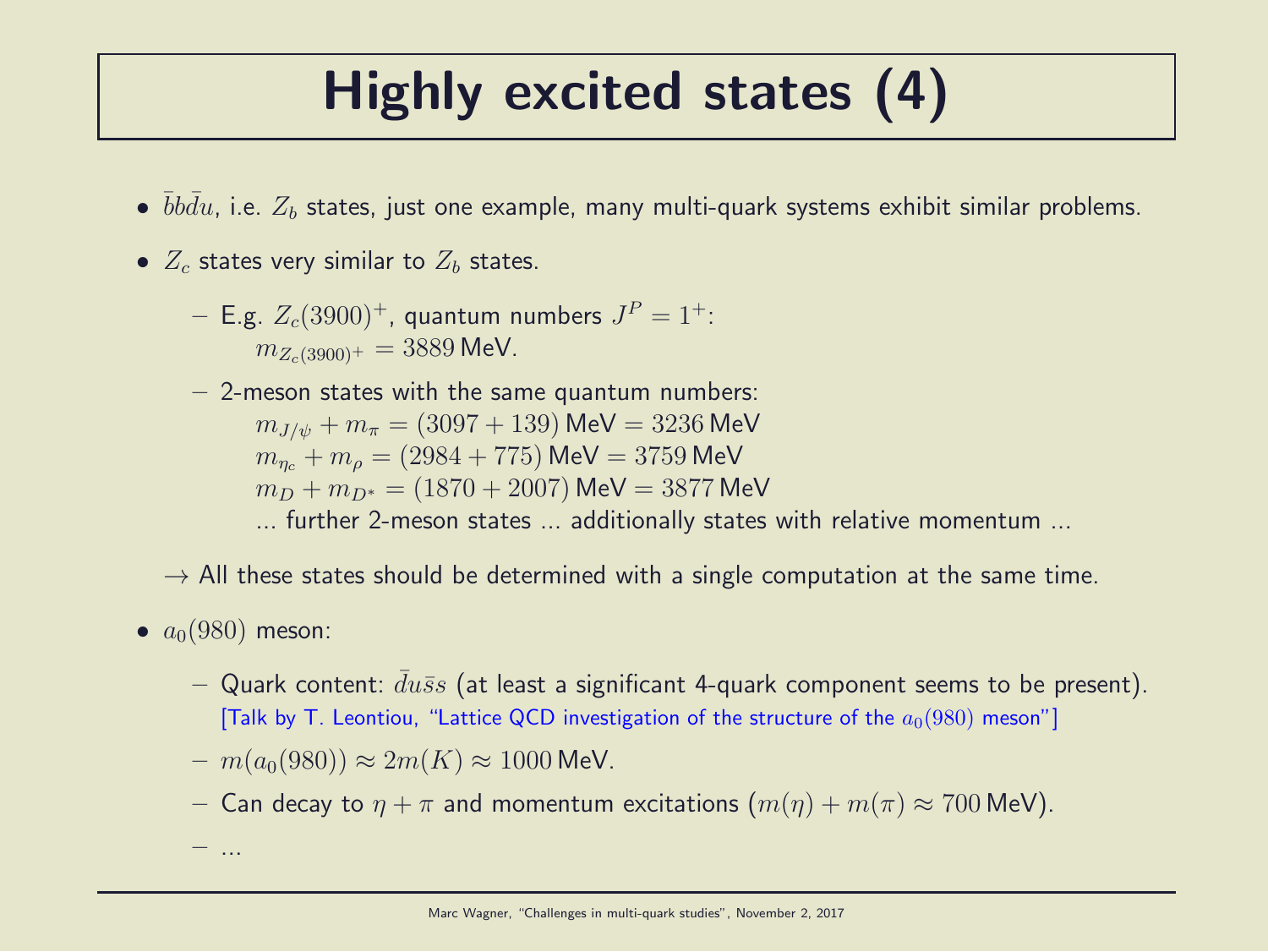## Highly excited states (4)

- $\bullet$   $\bar{b}b\bar{d}u$ , i.e.  $Z_b$  states, just one example, many multi-quark systems exhibit similar problems.
- $Z_c$  states very similar to  $Z_b$  states.
	- $-$  E.g.  $Z_c(3900)^+$ , quantum numbers  $J^P=1^+$ :  $m_{Z_c(3900)^+} = 3889$  MeV.
	- $-$  2-meson states with the same quantum numbers:

 $m_{J/\psi} + m_{\pi} = (3097 + 139)$  MeV = 3236 MeV  $m_{n_c} + m_{\rho} = (2984 + 775)$  MeV = 3759 MeV  $m_D + m_{D^*} = (1870 + 2007)$  MeV = 3877 MeV

- ... further 2-meson states ... additionally states with relative momentum ...
- $\rightarrow$  All these states should be determined with a single computation at the same time.
- $a_0(980)$  meson:

– ...

- Quark content:  $du\bar{s}s$  (at least a significant 4-quark component seems to be present). [Talk by T. Leontiou, "Lattice QCD investigation of the structure of the  $a_0(980)$  meson"]
- $m(a_0(980)) \approx 2m(K) \approx 1000$  MeV.
- Can decay to  $\eta + \pi$  and momentum excitations  $(m(\eta) + m(\pi) \approx 700 \text{ MeV})$ .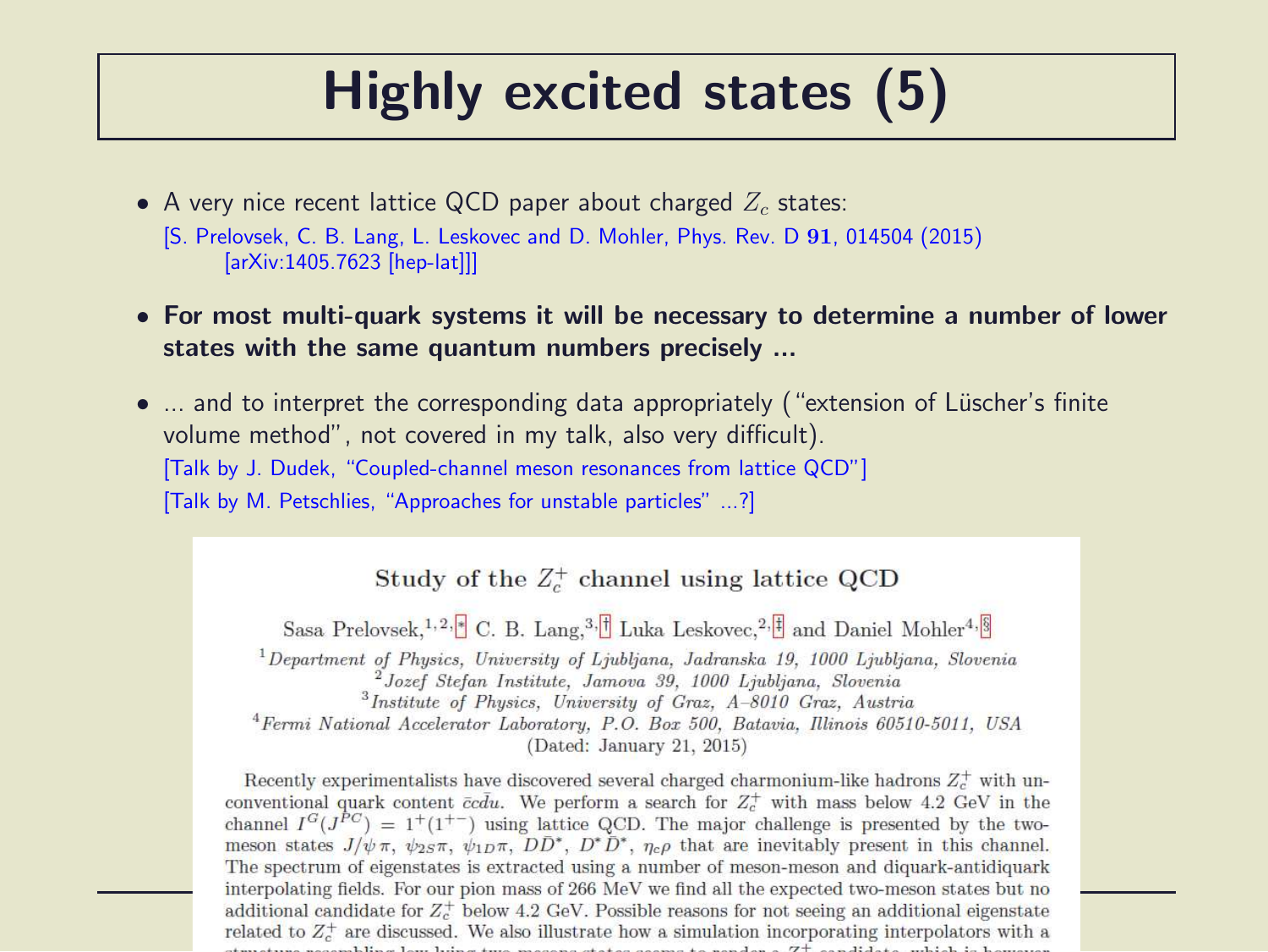#### Highly excited states (5)

- A very nice recent lattice QCD paper about charged  $Z_c$  states: [S. Prelovsek, C. B. Lang, L. Leskovec and D. Mohler, Phys. Rev. D 91, 014504 (2015) [arXiv:1405.7623 [hep-lat]]]
- For most multi-quark systems it will be necessary to determine a number of lower states with the same quantum numbers precisely ...
- ... and to interpret the corresponding data appropriately ("extension of Lüscher's finite volume method", not covered in my talk, also very difficult). [Talk by J. Dudek, "Coupled-channel meson resonances from lattice QCD"] [Talk by M. Petschlies, "Approaches for unstable particles" ...?]

#### Study of the  $Z_c^+$  channel using lattice QCD

Sasa Prelovsek, <sup>1, 2, 8</sup> C. B. Lang, <sup>3, <sup>1</sup> Luka Leskovec, <sup>2, 1</sup> and Daniel Mohler<sup>4, 8</sup></sup>

<sup>1</sup>Department of Physics, University of Ljubljana, Jadranska 19, 1000 Ljubljana, Slovenia <sup>2</sup>Jozef Stefan Institute, Jamova 39, 1000 Ljubljana, Slovenia

<sup>3</sup>Institute of Physics, University of Graz, A-8010 Graz, Austria

<sup>4</sup> Fermi National Accelerator Laboratory, P.O. Box 500, Batavia, Illinois 60510-5011, USA

(Dated: January 21, 2015)

Recently experimentalists have discovered several charged charmonium-like hadrons  $Z_c^+$  with unconventional quark content  $\bar{c}c\bar{d}u$ . We perform a search for  $Z_c^+$  with mass below 4.2 GeV in the channel  $I^G(J^{PC}) = 1^+(1^{+-})$  using lattice QCD. The major challenge is presented by the twomeson states  $J/\psi \pi$ ,  $\psi_{2S}\pi$ ,  $\psi_{1D}\pi$ ,  $DD^*$ ,  $D^*D^*$ ,  $\eta_c\rho$  that are inevitably present in this channel. The spectrum of eigenstates is extracted using a number of meson-meson and diquark-antidiquark interpolating fields. For our pion mass of 266 MeV we find all the expected two-meson states but no additional candidate for  $Z_c^+$  below 4.2 GeV. Possible reasons for not seeing an additional eigenstate related to  $Z_c^+$  are discussed. We also illustrate how a simulation incorporating interpolators with a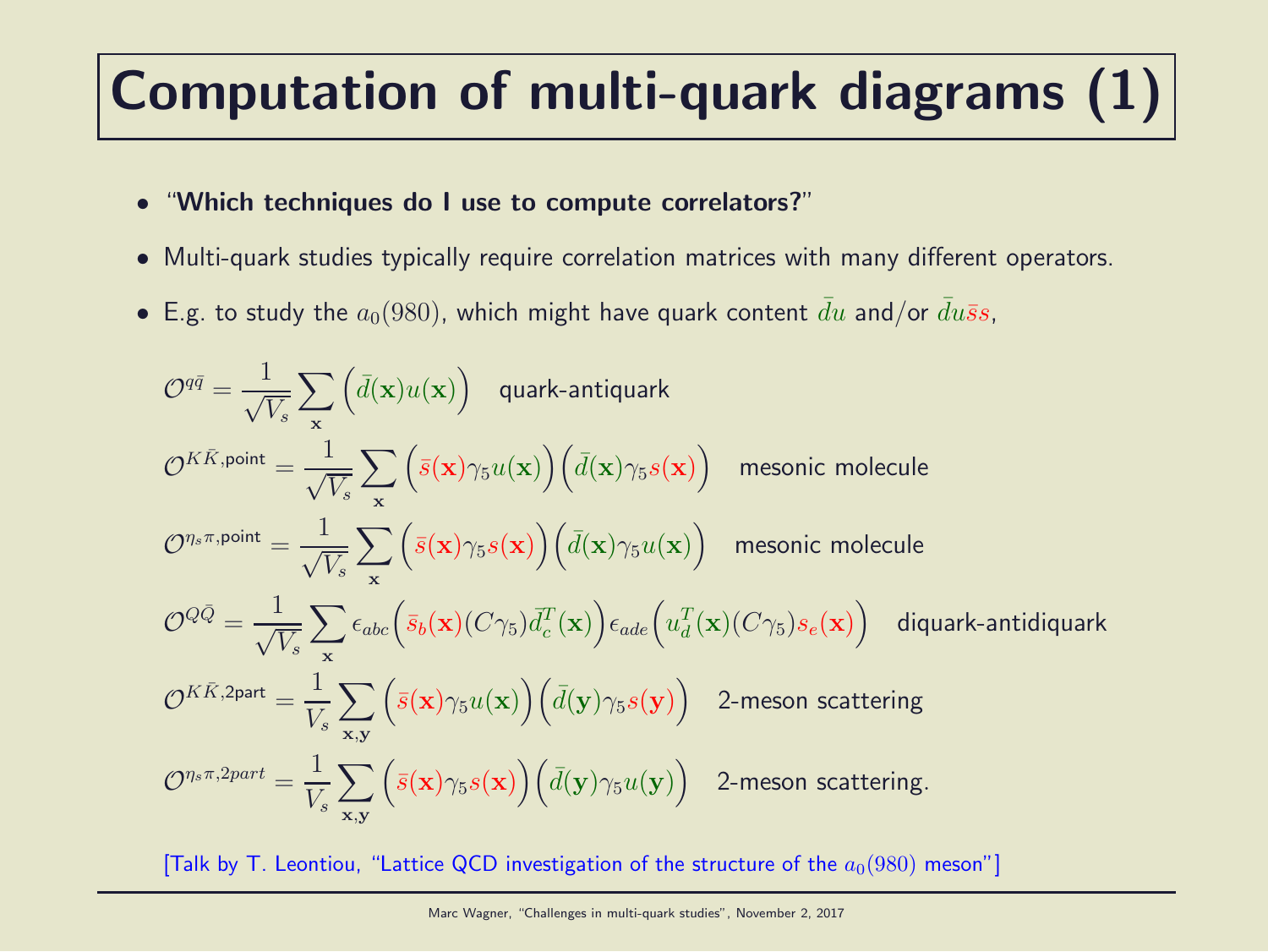# Computation of multi-quark diagrams (1)

- "Which techniques do I use to compute correlators?"
- Multi-quark studies typically require correlation matrices with many different operators.
- E.g. to study the  $a_0(980)$ , which might have quark content  $\bar{d}u$  and/or  $\bar{d}u\bar{s}s$ ,

$$
\mathcal{O}^{q\bar{q}} = \frac{1}{\sqrt{V_s}} \sum_{\mathbf{x}} \left( \bar{d}(\mathbf{x}) u(\mathbf{x}) \right) \quad \text{quark-antiquark}
$$
\n
$$
\mathcal{O}^{K\bar{K}, \text{point}} = \frac{1}{\sqrt{V_s}} \sum_{\mathbf{x}} \left( \bar{s}(\mathbf{x}) \gamma_5 u(\mathbf{x}) \right) \left( \bar{d}(\mathbf{x}) \gamma_5 s(\mathbf{x}) \right) \quad \text{mesonic molecule}
$$
\n
$$
\mathcal{O}^{\eta_s \pi, \text{point}} = \frac{1}{\sqrt{V_s}} \sum_{\mathbf{x}} \left( \bar{s}(\mathbf{x}) \gamma_5 s(\mathbf{x}) \right) \left( \bar{d}(\mathbf{x}) \gamma_5 u(\mathbf{x}) \right) \quad \text{mesonic molecule}
$$
\n
$$
\mathcal{O}^{Q\bar{Q}} = \frac{1}{\sqrt{V_s}} \sum_{\mathbf{x}} \epsilon_{abc} \left( \bar{s}_b(\mathbf{x}) (C\gamma_5) \bar{d}_c^T(\mathbf{x}) \right) \epsilon_{ade} \left( u_d^T(\mathbf{x}) (C\gamma_5) s_e(\mathbf{x}) \right) \quad \text{diquark-antidiquark}
$$
\n
$$
\mathcal{O}^{K\bar{K}, 2\text{part}} = \frac{1}{V_s} \sum_{\mathbf{x}, \mathbf{y}} \left( \bar{s}(\mathbf{x}) \gamma_5 u(\mathbf{x}) \right) \left( \bar{d}(\mathbf{y}) \gamma_5 s(\mathbf{y}) \right) \quad \text{2-meson scattering}
$$
\n
$$
\mathcal{O}^{\eta_s \pi, 2\text{part}} = \frac{1}{V_s} \sum_{\mathbf{x}, \mathbf{y}} \left( \bar{s}(\mathbf{x}) \gamma_5 s(\mathbf{x}) \right) \left( \bar{d}(\mathbf{y}) \gamma_5 u(\mathbf{y}) \right) \quad \text{2-meson scattering.}
$$

[Talk by T. Leontiou, "Lattice QCD investigation of the structure of the  $a_0(980)$  meson"]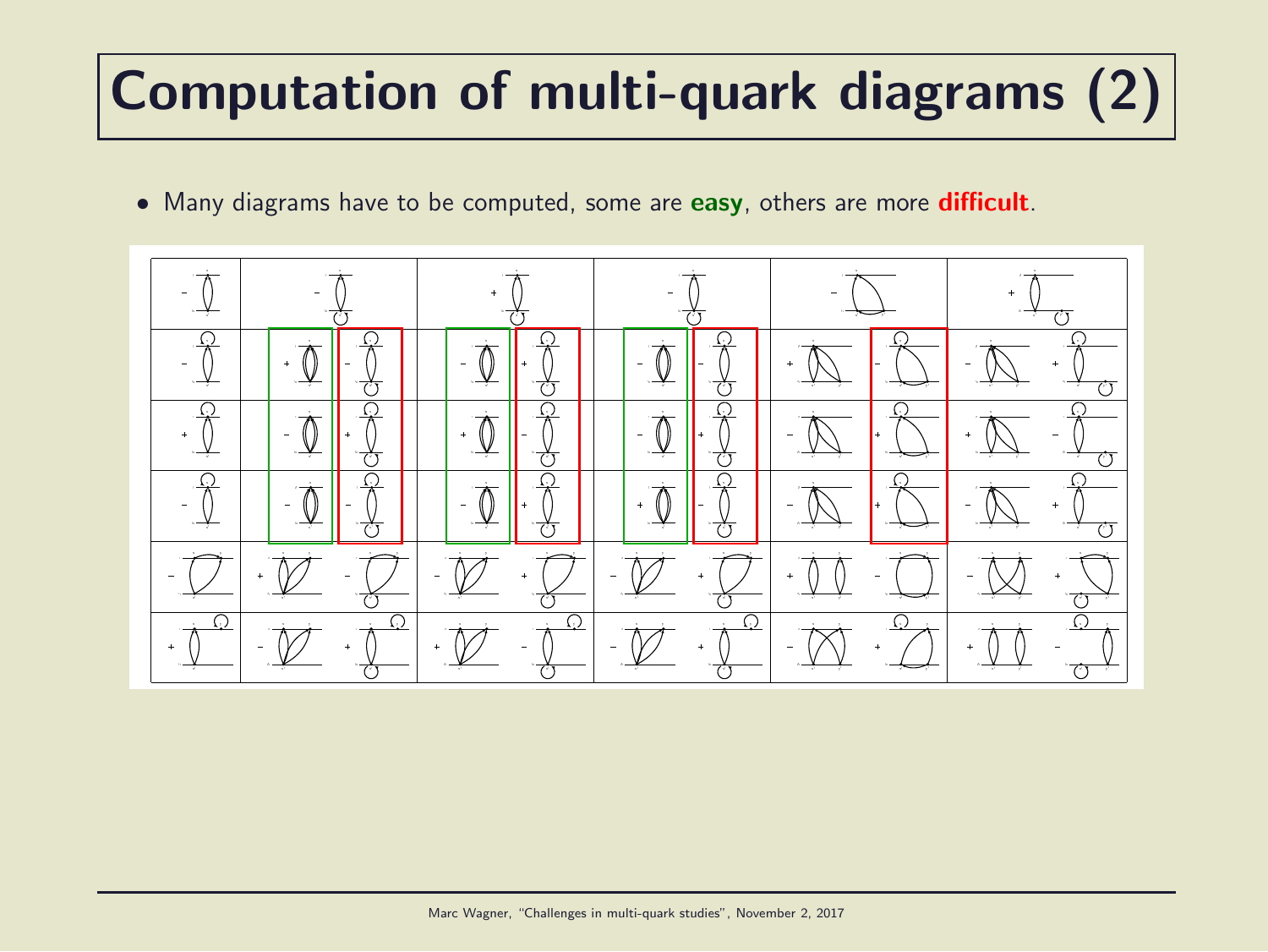# Computation of multi-quark diagrams (2)

• Many diagrams have to be computed, some are easy, others are more difficult.

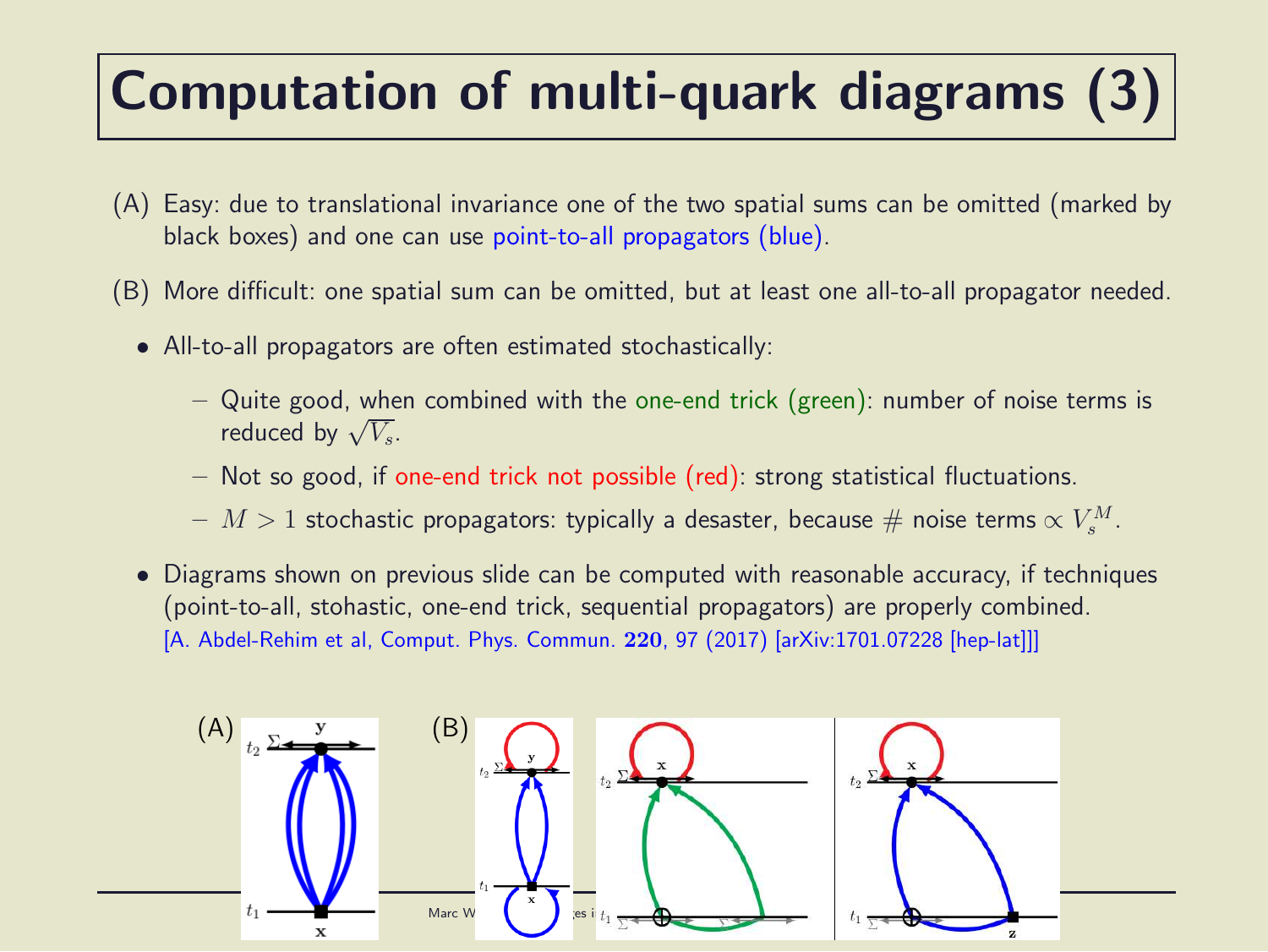# Computation of multi-quark diagrams (3)

- (A) Easy: due to translational invariance one of the two spatial sums can be omitted (marked by black boxes) and one can use point-to-all propagators (blue).
- (B) More difficult: one spatial sum can be omitted, but at least one all-to-all propagator needed.
	- All-to-all propagators are often estimated stochastically:
		- Quite good, when combined with the one-end trick (green): number of noise terms is reduced by  $\sqrt{V_s}$ .
		- Not so good, if one-end trick not possible (red): strong statistical fluctuations.
		- $M>1$  stochastic propagators: typically a desaster, because  $\#$  noise terms  $\propto V_s^M.$
	- Diagrams shown on previous slide can be computed with reasonable accuracy, if techniques (point-to-all, stohastic, one-end trick, sequential propagators) are properly combined. [A. Abdel-Rehim et al, Comput. Phys. Commun. 220, 97 (2017) [arXiv:1701.07228 [hep-lat]]]

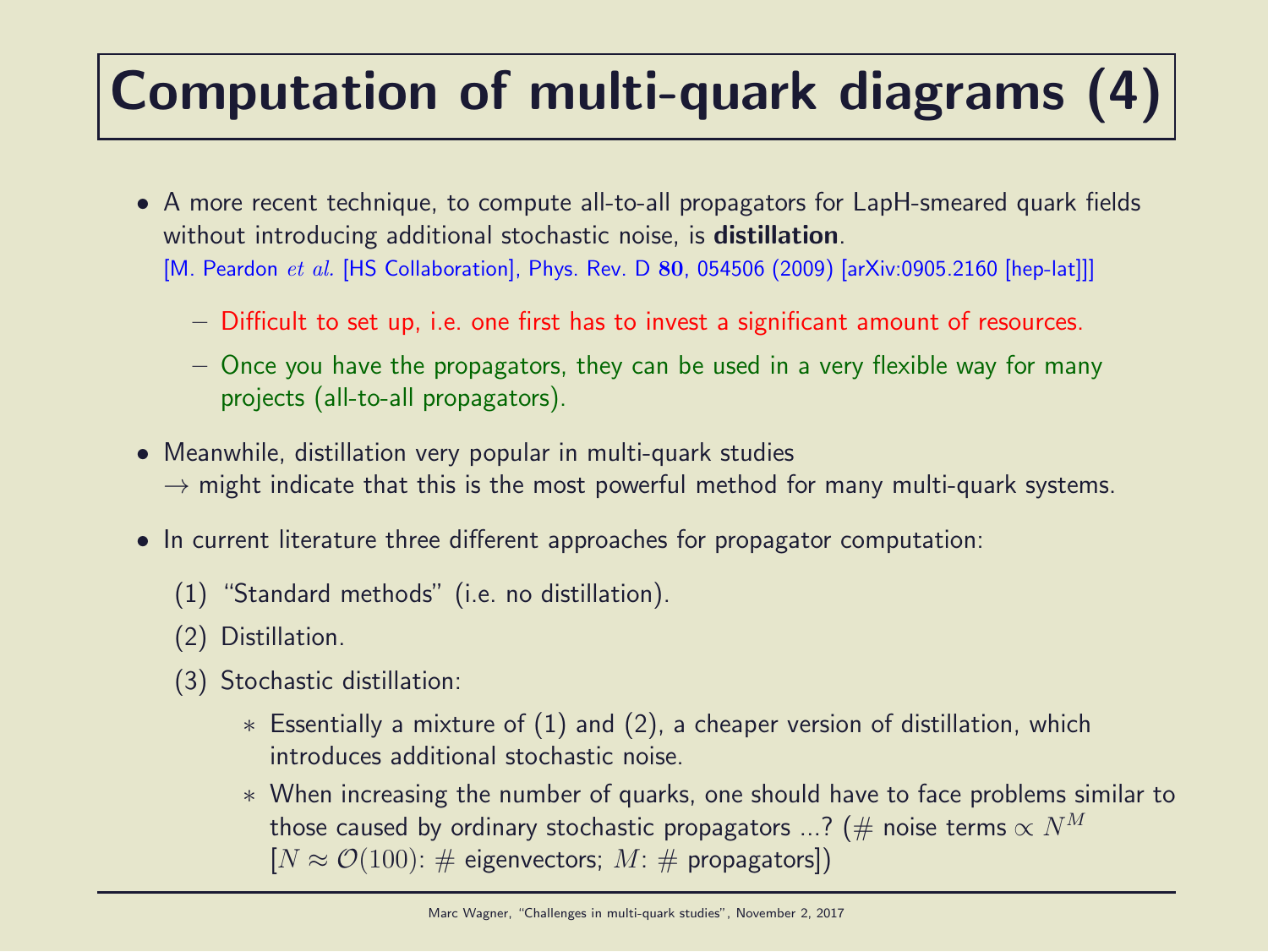# Computation of multi-quark diagrams (4)

- A more recent technique, to compute all-to-all propagators for LapH-smeared quark fields without introducing additional stochastic noise, is **distillation**. [M. Peardon et al. [HS Collaboration], Phys. Rev. D 80, 054506 (2009) [arXiv:0905.2160 [hep-lat]]]
	- Difficult to set up, i.e. one first has to invest a significant amount of resources.
	- Once you have the propagators, they can be used in a very flexible way for many projects (all-to-all propagators).
- Meanwhile, distillation very popular in multi-quark studies  $\rightarrow$  might indicate that this is the most powerful method for many multi-quark systems.
- In current literature three different approaches for propagator computation:
	- (1) "Standard methods" (i.e. no distillation).
	- (2) Distillation.
	- (3) Stochastic distillation:
		- $*$  Essentially a mixture of  $(1)$  and  $(2)$ , a cheaper version of distillation, which introduces additional stochastic noise.
		- ∗ When increasing the number of quarks, one should have to face problems similar to those caused by ordinary stochastic propagators ...? (# noise terms  $\propto N^M$  $[N \approx \mathcal{O}(100): \#$  eigenvectors;  $M: \#$  propagators])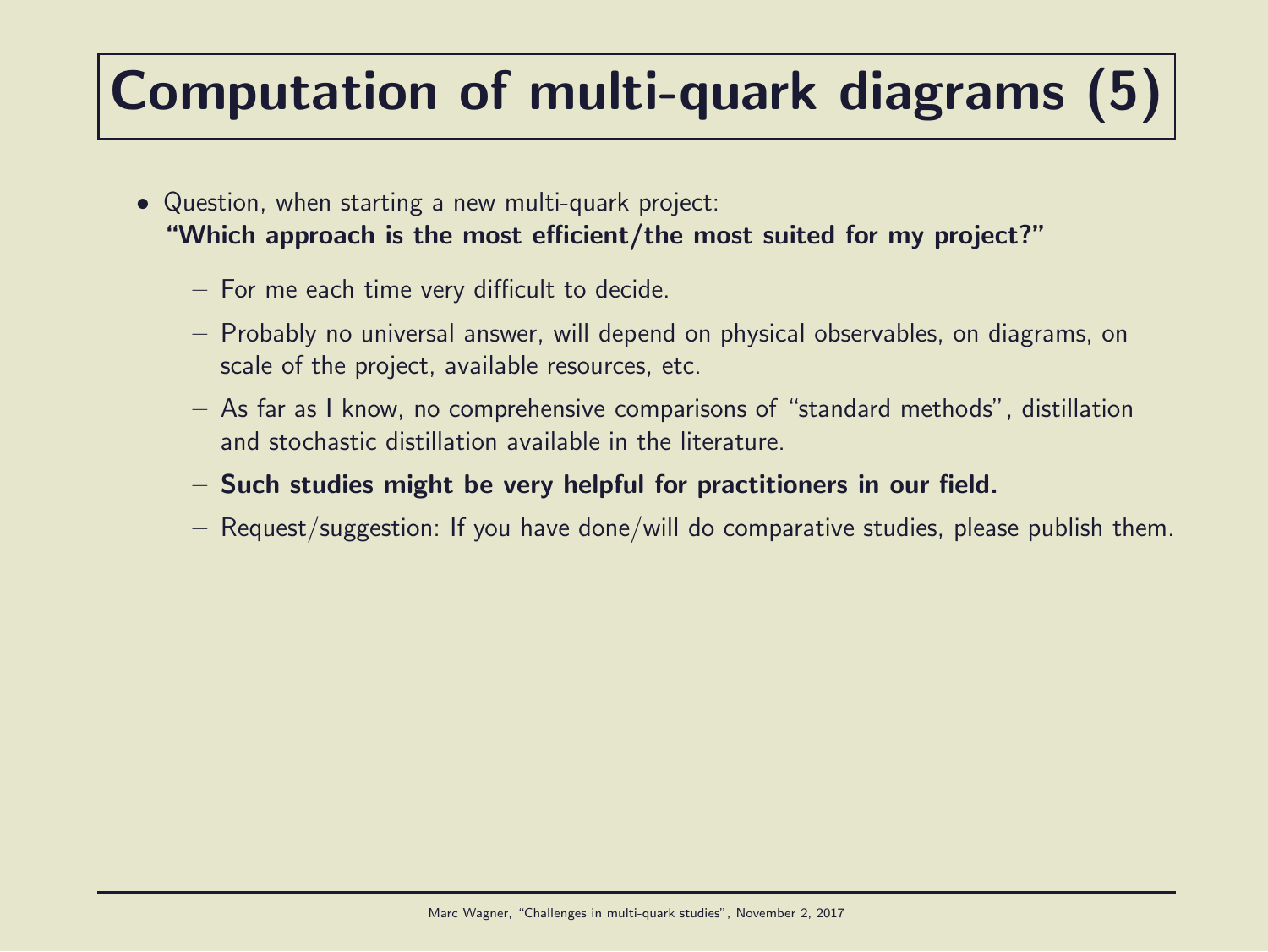# Computation of multi-quark diagrams (5)

- Question, when starting a new multi-quark project: "Which approach is the most efficient/the most suited for my project?"
	- For me each time very difficult to decide.
	- Probably no universal answer, will depend on physical observables, on diagrams, on scale of the project, available resources, etc.
	- As far as I know, no comprehensive comparisons of "standard methods", distillation and stochastic distillation available in the literature.
	- Such studies might be very helpful for practitioners in our field.
	- Request/suggestion: If you have done/will do comparative studies, please publish them.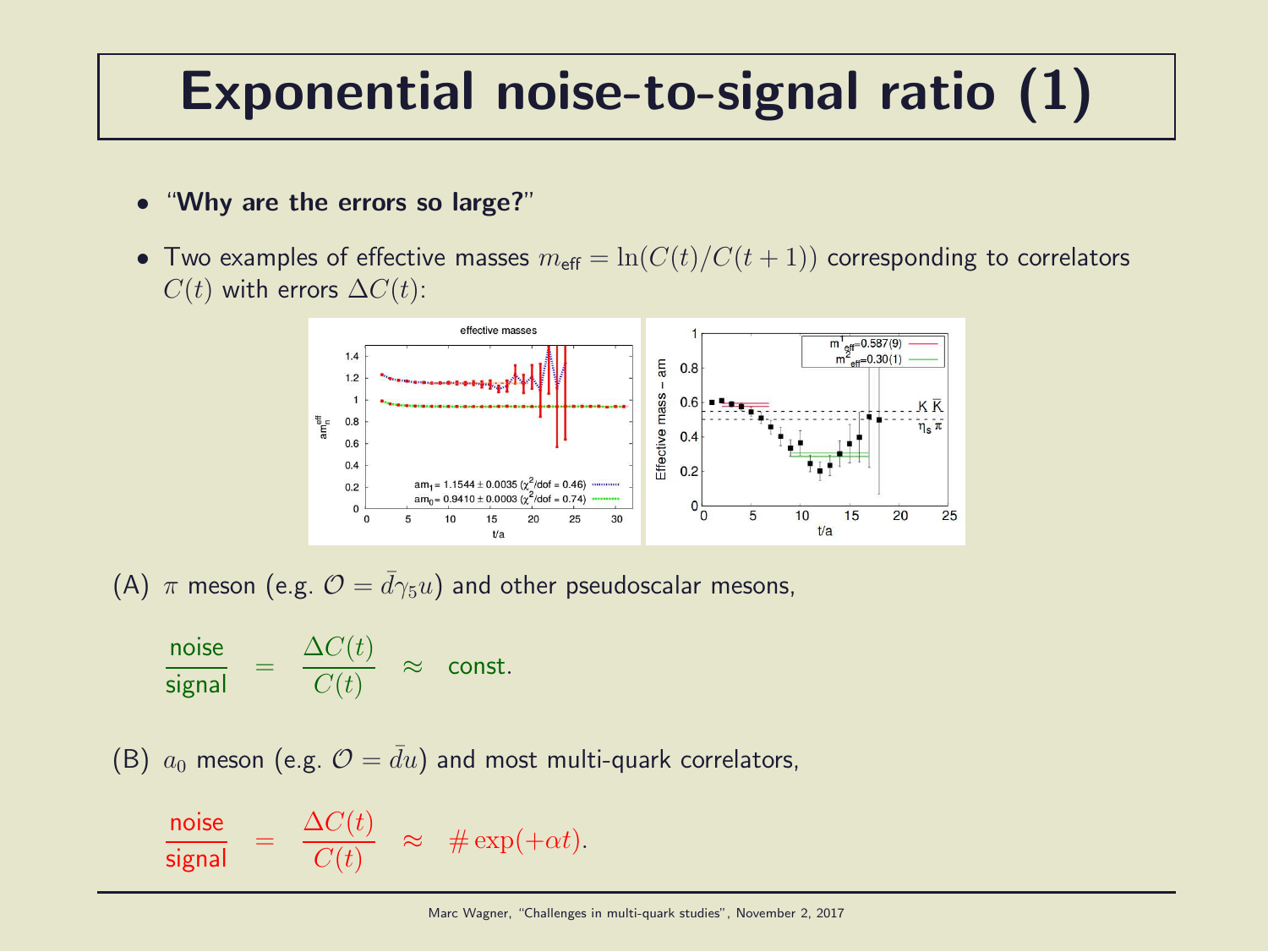### Exponential noise-to-signal ratio (1)

- "Why are the errors so large?"
- Two examples of effective masses  $m_{\text{eff}} = \ln(C(t)/C(t+1))$  corresponding to correlators  $C(t)$  with errors  $\Delta C(t)$ :



(A)  $\pi$  meson (e.g.  $\mathcal{O} = d\gamma_5 u$ ) and other pseudoscalar mesons,

$$
\frac{\text{noise}}{\text{signal}} = \frac{\Delta C(t)}{C(t)} \approx \text{const.}
$$

(B)  $a_0$  meson (e.g.  $\mathcal{O} = \bar{d}u$ ) and most multi-quark correlators,

$$
\frac{\text{noise}}{\text{signal}} = \frac{\Delta C(t)}{C(t)} \approx # \exp(+\alpha t).
$$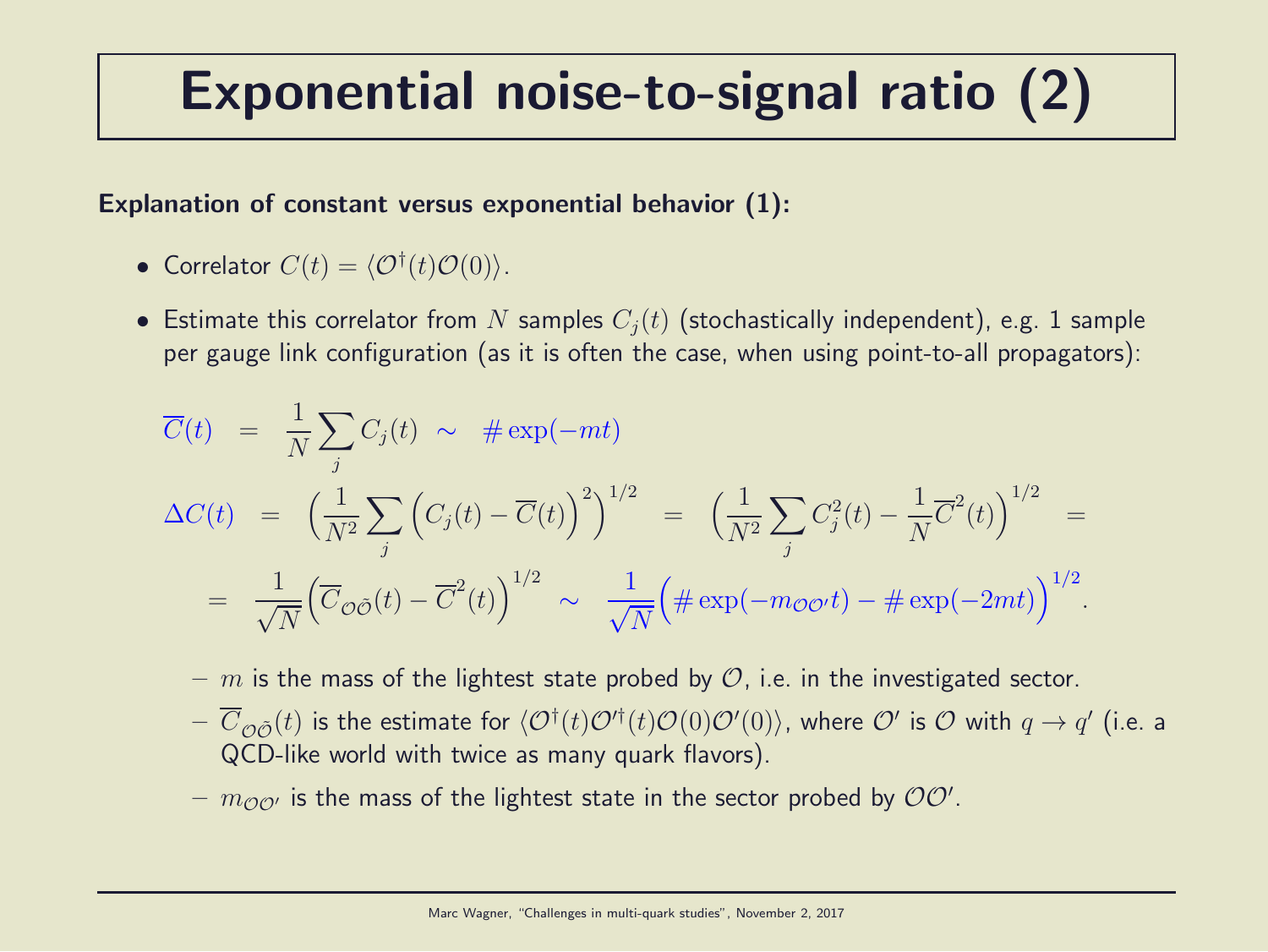## Exponential noise-to-signal ratio (2)

#### Explanation of constant versus exponential behavior (1):

• Correlator 
$$
C(t) = \langle \mathcal{O}^{\dagger}(t) \mathcal{O}(0) \rangle
$$
.

• Estimate this correlator from N samples  $C_i(t)$  (stochastically independent), e.g. 1 sample per gauge link configuration (as it is often the case, when using point-to-all propagators):

$$
\overline{C}(t) = \frac{1}{N} \sum_{j} C_{j}(t) \sim # \exp(-mt)
$$
\n
$$
\Delta C(t) = \left(\frac{1}{N^{2}} \sum_{j} \left(C_{j}(t) - \overline{C}(t)\right)^{2}\right)^{1/2} = \left(\frac{1}{N^{2}} \sum_{j} C_{j}^{2}(t) - \frac{1}{N} \overline{C}^{2}(t)\right)^{1/2} =
$$
\n
$$
= \frac{1}{\sqrt{N}} \left(\overline{C}_{\mathcal{O}\tilde{\mathcal{O}}}(t) - \overline{C}^{2}(t)\right)^{1/2} \sim \frac{1}{\sqrt{N}} \left(\# \exp(-m_{\mathcal{O}\mathcal{O}'}t) - \# \exp(-2mt)\right)^{1/2}.
$$

- m is the mass of the lightest state probed by  $\mathcal{O}$ , i.e. in the investigated sector.
- $-\ \overline{C}_{\mathcal{O} \tilde{\mathcal{O}}}(t)$  is the estimate for  $\langle \mathcal{O}^\dagger(t) \mathcal{O}'^\dagger(t) \mathcal{O}(0) \mathcal{O}'(0) \rangle$ , where  $\mathcal{O}'$  is  $\mathcal O$  with  $q\to q'$  (i.e. a QCD-like world with twice as many quark flavors).
- $m_{\mathcal{O} \mathcal{O}'}$  is the mass of the lightest state in the sector probed by  $\mathcal{O} \mathcal{O}'$ .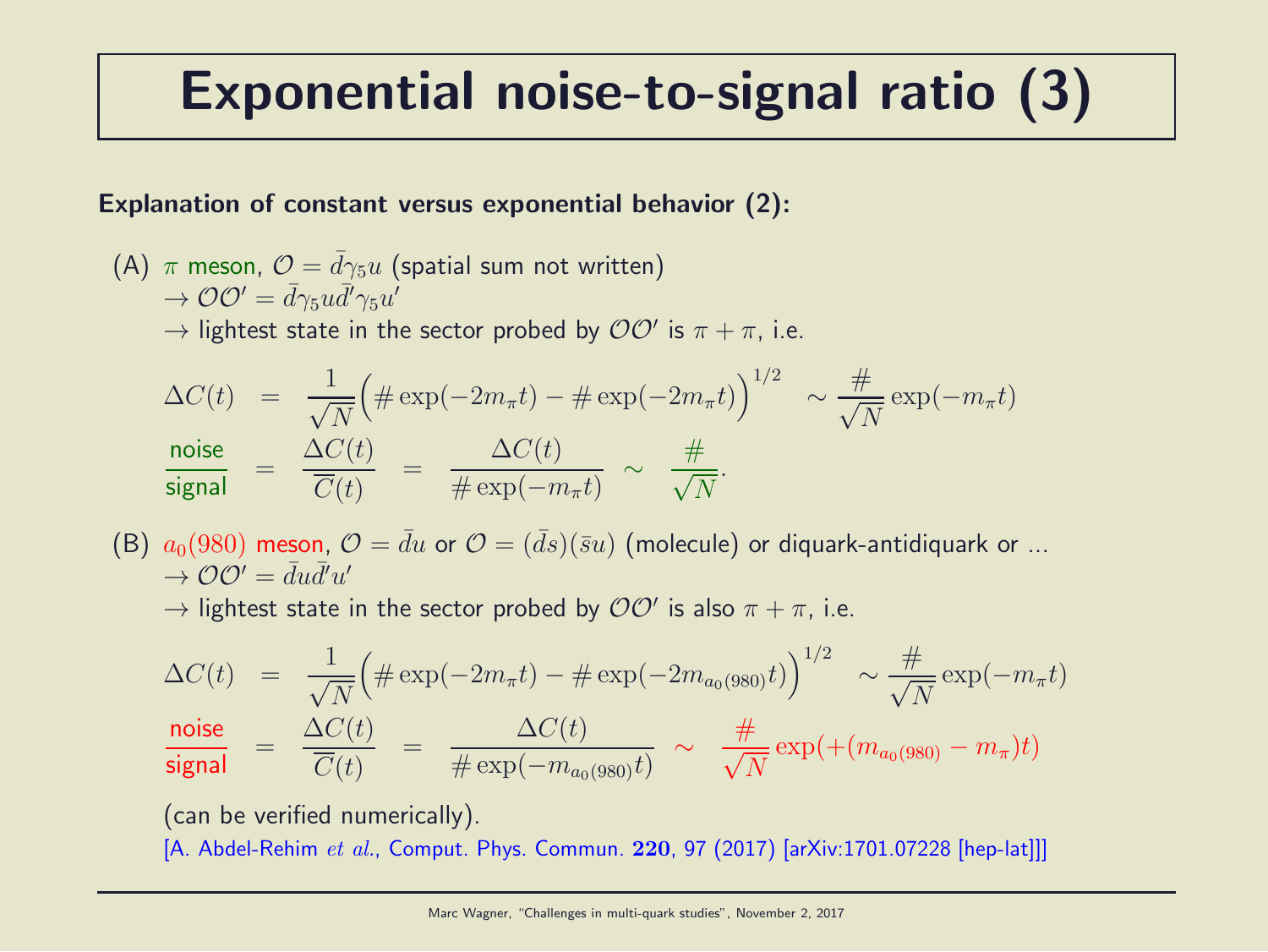## Exponential noise-to-signal ratio (3)

#### Explanation of constant versus exponential behavior (2):

(A)  $\pi$  meson,  $\mathcal{O} = d\gamma_5 u$  (spatial sum not written)  $\rightarrow \mathcal{O}\mathcal{O}'=\bar{d}\gamma_5 u \bar{d}'\gamma_5 u'$  $\rightarrow$  lightest state in the sector probed by  $\mathcal{O}\mathcal{O}'$  is  $\pi + \pi$ , i.e.

$$
\Delta C(t) = \frac{1}{\sqrt{N}} \Big( \# \exp(-2m_{\pi}t) - \# \exp(-2m_{\pi}t) \Big)^{1/2} \sim \frac{\#}{\sqrt{N}} \exp(-m_{\pi}t)
$$
  
  

$$
\frac{\text{noise}}{\text{signal}} = \frac{\Delta C(t)}{\overline{C}(t)} = \frac{\Delta C(t)}{\# \exp(-m_{\pi}t)} \sim \frac{\#}{\sqrt{N}}.
$$

(B)  $a_0(980)$  meson,  $\mathcal{O} = \bar{d}u$  or  $\mathcal{O} = (\bar{d}s)(\bar{s}u)$  (molecule) or diquark-antidiquark or ...  $\rightarrow$   $\mathcal{O}\mathcal{O}' = \bar{d}u\bar{d}'u'$ 

 $\rightarrow$  lightest state in the sector probed by  ${\cal O} {\cal O}'$  is also  $\pi + \pi$ , i.e.

$$
\Delta C(t) = \frac{1}{\sqrt{N}} \Big( \# \exp(-2m_{\pi}t) - \# \exp(-2m_{a_0(980)}t) \Big)^{1/2} \sim \frac{\#}{\sqrt{N}} \exp(-m_{\pi}t)
$$
  
**noise**  
**signal**  

$$
= \frac{\Delta C(t)}{\overline{C}(t)} = \frac{\Delta C(t)}{\# \exp(-m_{a_0(980)}t)} \sim \frac{\#}{\sqrt{N}} \exp(+(m_{a_0(980)} - m_{\pi})t)
$$

(can be verified numerically).

[A. Abdel-Rehim et al., Comput. Phys. Commun. 220, 97 (2017) [arXiv:1701.07228 [hep-lat]]]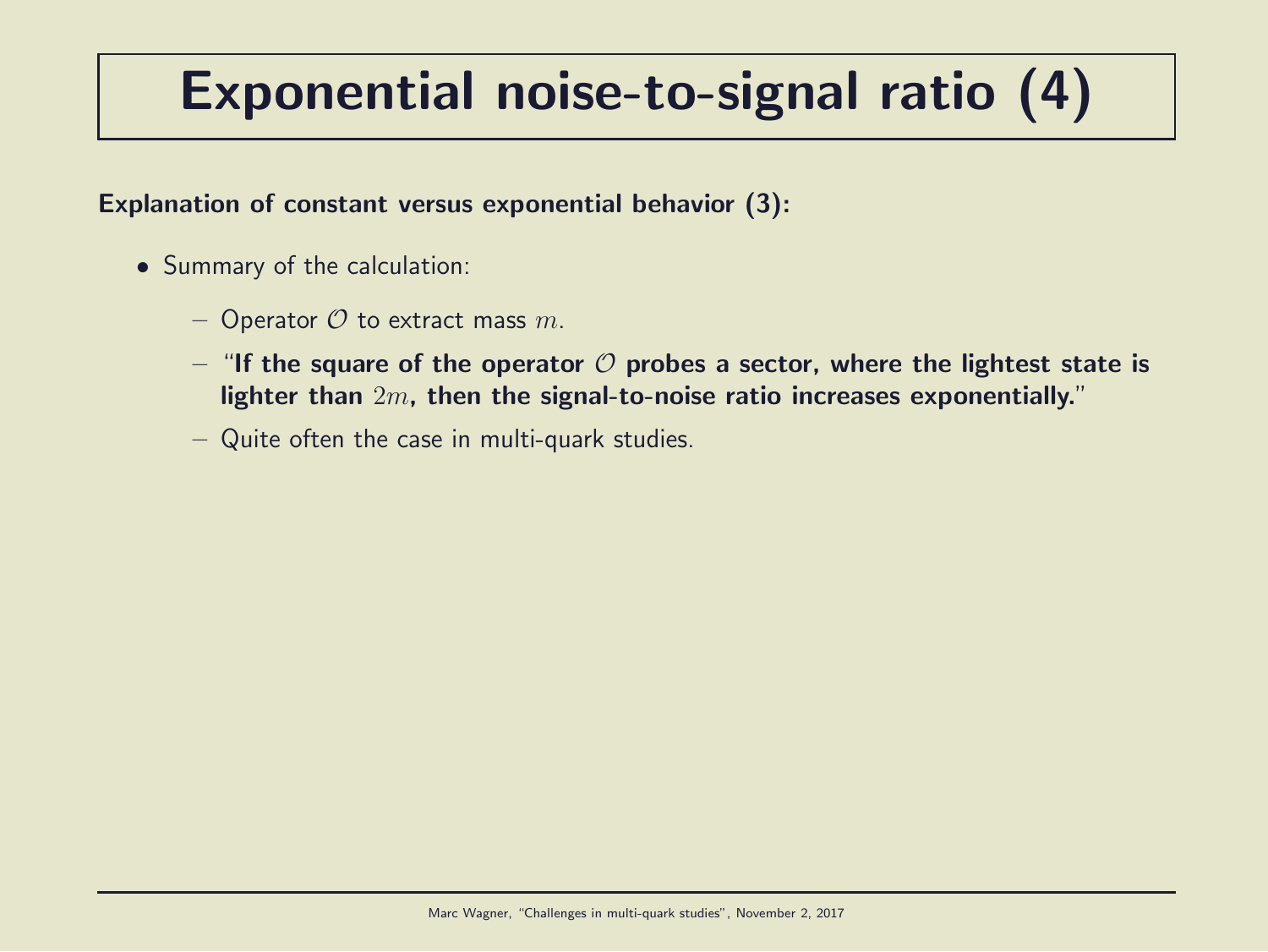# Exponential noise-to-signal ratio (4)

#### Explanation of constant versus exponential behavior (3):

- Summary of the calculation:
	- Operator  $O$  to extract mass  $m$ .
	- "If the square of the operator  $\mathcal O$  probes a sector, where the lightest state is lighter than 2m, then the signal-to-noise ratio increases exponentially."
	- Quite often the case in multi-quark studies.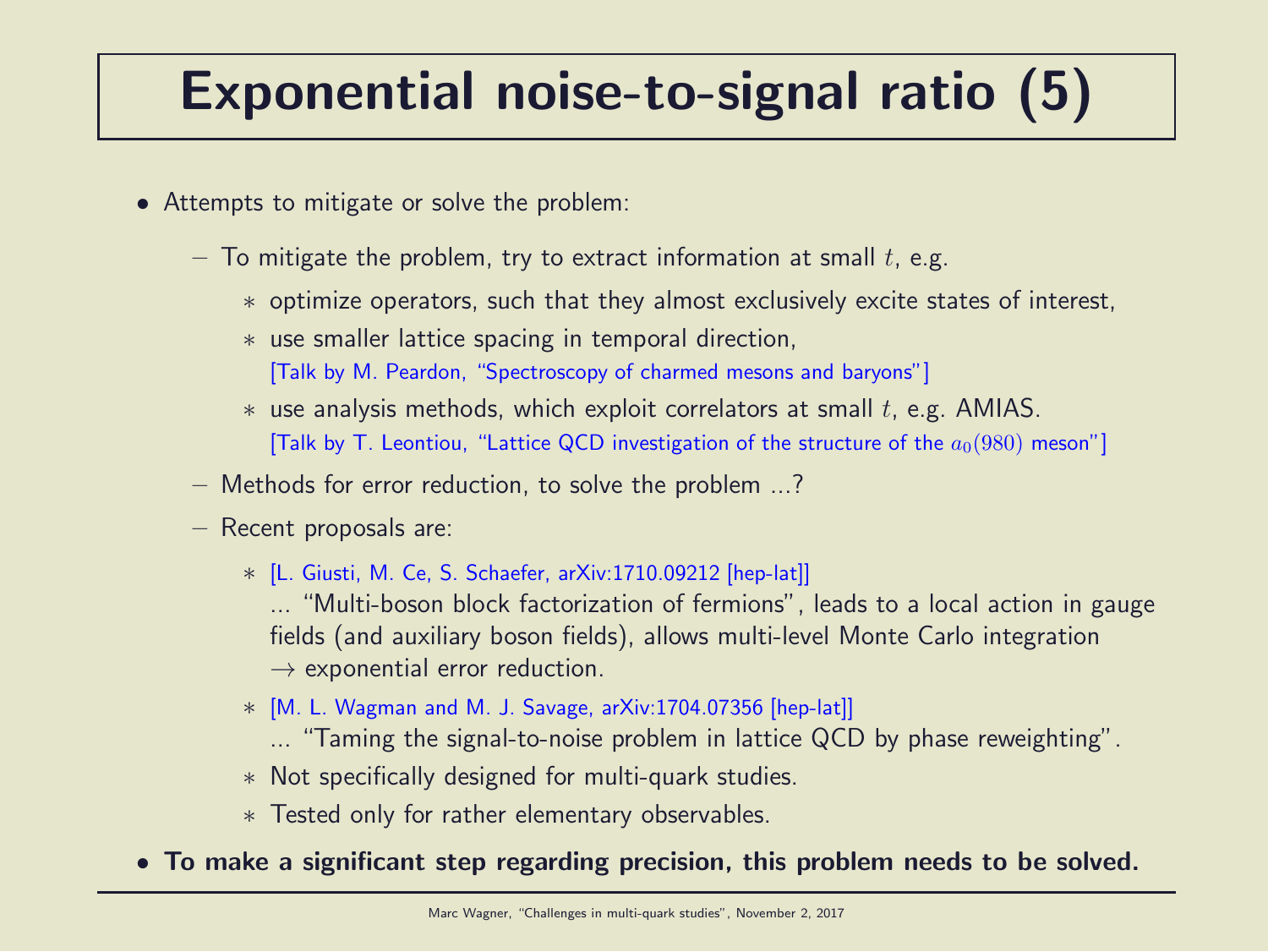# Exponential noise-to-signal ratio (5)

- Attempts to mitigate or solve the problem:
	- $-$  To mitigate the problem, try to extract information at small  $t$ , e.g.
		- ∗ optimize operators, such that they almost exclusively excite states of interest,
		- ∗ use smaller lattice spacing in temporal direction,
			- [Talk by M. Peardon, "Spectroscopy of charmed mesons and baryons"]
		- $*$  use analysis methods, which exploit correlators at small  $t$ , e.g. AMIAS. [Talk by T. Leontiou, "Lattice QCD investigation of the structure of the  $a_0(980)$  meson"]
	- Methods for error reduction, to solve the problem ...?
	- Recent proposals are:
		- ∗ [L. Giusti, M. Ce, S. Schaefer, arXiv:1710.09212 [hep-lat]]
			- ... "Multi-boson block factorization of fermions", leads to a local action in gauge fields (and auxiliary boson fields), allows multi-level Monte Carlo integration  $\rightarrow$  exponential error reduction.
		- ∗ [M. L. Wagman and M. J. Savage, arXiv:1704.07356 [hep-lat]]
			- ... "Taming the signal-to-noise problem in lattice QCD by phase reweighting".
		- ∗ Not specifically designed for multi-quark studies.
		- ∗ Tested only for rather elementary observables.
- To make a significant step regarding precision, this problem needs to be solved.